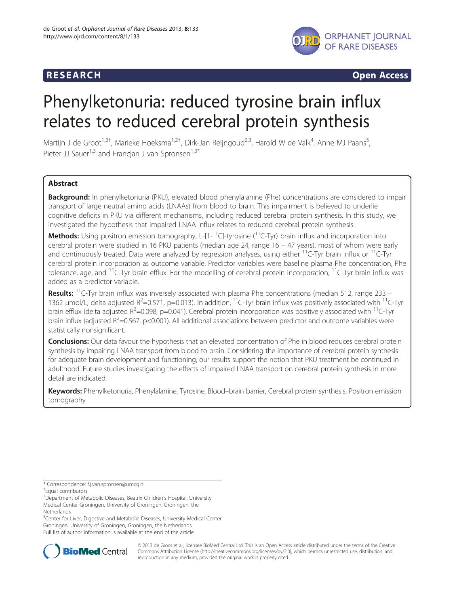

**RESEARCH CHINESEARCH CHINESEARCH CHINESE** 

# Phenylketonuria: reduced tyrosine brain influx relates to reduced cerebral protein synthesis

Martijn J de Groot<sup>1,2†</sup>, Marieke Hoeksma<sup>1,2†</sup>, Dirk-Jan Reijngoud<sup>2,3</sup>, Harold W de Valk<sup>4</sup>, Anne MJ Paans<sup>5</sup> , Pieter JJ Sauer<sup>1,3</sup> and Francjan J van Spronsen<sup>1,3\*</sup>

# **Abstract**

Background: In phenylketonuria (PKU), elevated blood phenylalanine (Phe) concentrations are considered to impair transport of large neutral amino acids (LNAAs) from blood to brain. This impairment is believed to underlie cognitive deficits in PKU via different mechanisms, including reduced cerebral protein synthesis. In this study, we investigated the hypothesis that impaired LNAA influx relates to reduced cerebral protein synthesis.

**Methods:** Using positron emission tomography, L- $[1-1]C$ -tyrosine  $(^{11}C$ -Tyr) brain influx and incorporation into cerebral protein were studied in 16 PKU patients (median age 24, range 16 – 47 years), most of whom were early and continuously treated. Data were analyzed by regression analyses, using either <sup>11</sup>C-Tyr brain influx or <sup>11</sup>C-Tyr cerebral protein incorporation as outcome variable. Predictor variables were baseline plasma Phe concentration, Phe tolerance, age, and  $11$ C-Tyr brain efflux. For the modelling of cerebral protein incorporation,  $11$ C-Tyr brain influx was added as a predictor variable.

**Results:**  $^{11}$ C-Tyr brain influx was inversely associated with plasma Phe concentrations (median 512, range 233 – 1362  $\mu$ mol/L; delta adjusted R<sup>2</sup>=0.571, p=0.013). In addition, <sup>11</sup>C-Tyr brain influx was positively associated with <sup>11</sup>C-Tyr brain efflux (delta adjusted  $R^2$ =0.098, p=0.041). Cerebral protein incorporation was positively associated with <sup>11</sup>C-Tyr brain influx (adjusted  $R^2$ =0.567, p<0.001). All additional associations between predictor and outcome variables were statistically nonsignificant.

**Conclusions:** Our data favour the hypothesis that an elevated concentration of Phe in blood reduces cerebral protein synthesis by impairing LNAA transport from blood to brain. Considering the importance of cerebral protein synthesis for adequate brain development and functioning, our results support the notion that PKU treatment be continued in adulthood. Future studies investigating the effects of impaired LNAA transport on cerebral protein synthesis in more detail are indicated.

Keywords: Phenylketonuria, Phenylalanine, Tyrosine, Blood-brain barrier, Cerebral protein synthesis, Positron emission tomography

<sup>3</sup>Center for Liver, Digestive and Metabolic Diseases, University Medical Center Groningen, University of Groningen, Groningen, the Netherlands Full list of author information is available at the end of the article



© 2013 de Groot et al.; licensee BioMed Central Ltd. This is an Open Access article distributed under the terms of the Creative Commons Attribution License [\(http://creativecommons.org/licenses/by/2.0\)](http://creativecommons.org/licenses/by/2.0), which permits unrestricted use, distribution, and reproduction in any medium, provided the original work is properly cited.

<sup>\*</sup> Correspondence: [f.j.van.spronsen@umcg.nl](mailto:f.j.van.spronsen@umcg.nl) †

Equal contributors

<sup>&</sup>lt;sup>1</sup>Department of Metabolic Diseases, Beatrix Children's Hospital, University Medical Center Groningen, University of Groningen, Groningen, the **Netherlands**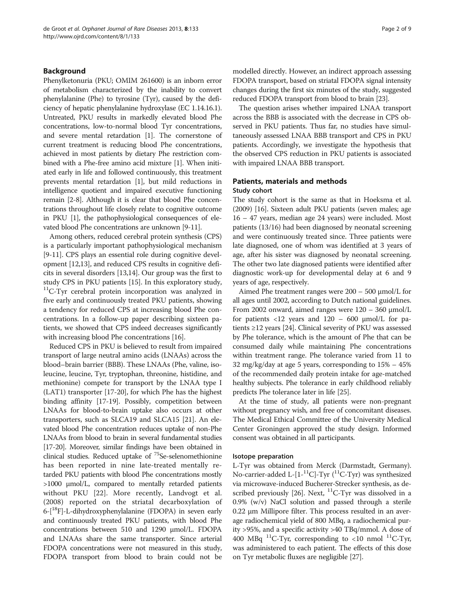# Background

Phenylketonuria (PKU; OMIM 261600) is an inborn error of metabolism characterized by the inability to convert phenylalanine (Phe) to tyrosine (Tyr), caused by the deficiency of hepatic phenylalanine hydroxylase (EC 1.14.16.1). Untreated, PKU results in markedly elevated blood Phe concentrations, low-to-normal blood Tyr concentrations, and severe mental retardation [[1](#page-7-0)]. The cornerstone of current treatment is reducing blood Phe concentrations, achieved in most patients by dietary Phe restriction combined with a Phe-free amino acid mixture [[1\]](#page-7-0). When initiated early in life and followed continuously, this treatment prevents mental retardation [[1](#page-7-0)], but mild reductions in intelligence quotient and impaired executive functioning remain [\[2-8](#page-7-0)]. Although it is clear that blood Phe concentrations throughout life closely relate to cognitive outcome in PKU [\[1](#page-7-0)], the pathophysiological consequences of elevated blood Phe concentrations are unknown [[9](#page-7-0)-[11](#page-7-0)].

Among others, reduced cerebral protein synthesis (CPS) is a particularly important pathophysiological mechanism [[9-11\]](#page-7-0). CPS plays an essential role during cognitive development [\[12,13\]](#page-7-0), and reduced CPS results in cognitive deficits in several disorders [\[13,14](#page-7-0)]. Our group was the first to study CPS in PKU patients [[15](#page-7-0)]. In this exploratory study, <sup>11</sup>C-Tyr cerebral protein incorporation was analyzed in five early and continuously treated PKU patients, showing a tendency for reduced CPS at increasing blood Phe concentrations. In a follow-up paper describing sixteen patients, we showed that CPS indeed decreases significantly with increasing blood Phe concentrations [\[16\]](#page-7-0).

Reduced CPS in PKU is believed to result from impaired transport of large neutral amino acids (LNAAs) across the blood–brain barrier (BBB). These LNAAs (Phe, valine, isoleucine, leucine, Tyr, tryptophan, threonine, histidine, and methionine) compete for transport by the LNAA type I (LAT1) transporter [[17](#page-7-0)[-20\]](#page-8-0), for which Phe has the highest binding affinity [\[17-19](#page-7-0)]. Possibly, competition between LNAAs for blood-to-brain uptake also occurs at other transporters, such as SLCA19 and SLCA15 [[21](#page-8-0)]. An elevated blood Phe concentration reduces uptake of non-Phe LNAAs from blood to brain in several fundamental studies [[17](#page-7-0)-[20\]](#page-8-0). Moreover, similar findings have been obtained in clinical studies. Reduced uptake of <sup>75</sup>Se-selenomethionine has been reported in nine late-treated mentally retarded PKU patients with blood Phe concentrations mostly >1000 μmol/L, compared to mentally retarded patients without PKU [[22\]](#page-8-0). More recently, Landvogt et al. (2008) reported on the striatal decarboxylation of 6-[18F]-L-dihydroxyphenylalanine (FDOPA) in seven early and continuously treated PKU patients, with blood Phe concentrations between 510 and 1290 μmol/L. FDOPA and LNAAs share the same transporter. Since arterial FDOPA concentrations were not measured in this study, FDOPA transport from blood to brain could not be modelled directly. However, an indirect approach assessing FDOPA transport, based on striatal FDOPA signal intensity changes during the first six minutes of the study, suggested reduced FDOPA transport from blood to brain [\[23\]](#page-8-0).

The question arises whether impaired LNAA transport across the BBB is associated with the decrease in CPS observed in PKU patients. Thus far, no studies have simultaneously assessed LNAA BBB transport and CPS in PKU patients. Accordingly, we investigate the hypothesis that the observed CPS reduction in PKU patients is associated with impaired LNAA BBB transport.

# Patients, materials and methods Study cohort

The study cohort is the same as that in Hoeksma et al. (2009) [[16](#page-7-0)]. Sixteen adult PKU patients (seven males; age 16 – 47 years, median age 24 years) were included. Most patients (13/16) had been diagnosed by neonatal screening and were continuously treated since. Three patients were late diagnosed, one of whom was identified at 3 years of age, after his sister was diagnosed by neonatal screening. The other two late diagnosed patients were identified after diagnostic work-up for developmental delay at 6 and 9 years of age, respectively.

Aimed Phe treatment ranges were 200 – 500 μmol/L for all ages until 2002, according to Dutch national guidelines. From 2002 onward, aimed ranges were 120 – 360 μmol/L for patients  $\langle 12 \rangle$  years and  $120 - 600 \rangle$  µmol/L for patients ≥12 years [[24\]](#page-8-0). Clinical severity of PKU was assessed by Phe tolerance, which is the amount of Phe that can be consumed daily while maintaining Phe concentrations within treatment range. Phe tolerance varied from 11 to 32 mg/kg/day at age 5 years, corresponding to 15% – 45% of the recommended daily protein intake for age-matched healthy subjects. Phe tolerance in early childhood reliably predicts Phe tolerance later in life [[25](#page-8-0)].

At the time of study, all patients were non-pregnant without pregnancy wish, and free of concomitant diseases. The Medical Ethical Committee of the University Medical Center Groningen approved the study design. Informed consent was obtained in all participants.

#### Isotope preparation

L-Tyr was obtained from Merck (Darmstadt, Germany). No-carrier-added L- $[1^{-11}C]$ -Tyr (<sup>11</sup>C-Tyr) was synthesized via microwave-induced Bucherer-Strecker synthesis, as de-scribed previously [[26](#page-8-0)]. Next,  $^{11}$ C-Tyr was dissolved in a 0.9% (w/v) NaCl solution and passed through a sterile 0.22 μm Millipore filter. This process resulted in an average radiochemical yield of 800 MBq, a radiochemical purity >95%, and a specific activity >40 TBq/mmol. A dose of 400 MBq <sup>11</sup>C-Tyr, corresponding to <10 nmol <sup>11</sup>C-Tyr, was administered to each patient. The effects of this dose on Tyr metabolic fluxes are negligible [\[27\]](#page-8-0).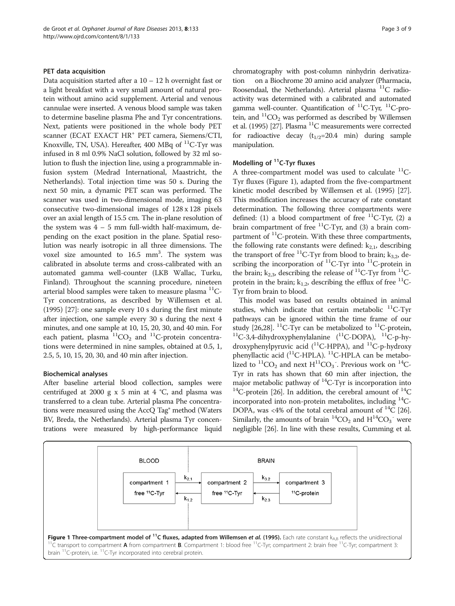#### PET data acquisition

Data acquisition started after a  $10 - 12$  h overnight fast or a light breakfast with a very small amount of natural protein without amino acid supplement. Arterial and venous cannulae were inserted. A venous blood sample was taken to determine baseline plasma Phe and Tyr concentrations. Next, patients were positioned in the whole body PET scanner (ECAT EXACT HR<sup>+</sup> PET camera, Siemens/CTI, Knoxville, TN, USA). Hereafter,  $400$  MBq of  $^{11}$ C-Tyr was infused in 8 ml 0.9% NaCl solution, followed by 32 ml solution to flush the injection line, using a programmable infusion system (Medrad International, Maastricht, the Netherlands). Total injection time was 50 s. During the next 50 min, a dynamic PET scan was performed. The scanner was used in two-dimensional mode, imaging 63 consecutive two-dimensional images of 128 x 128 pixels over an axial length of 15.5 cm. The in-plane resolution of the system was  $4 - 5$  mm full-width half-maximum, depending on the exact position in the plane. Spatial resolution was nearly isotropic in all three dimensions. The voxel size amounted to 16.5 mm<sup>3</sup>. The system was calibrated in absolute terms and cross-calibrated with an automated gamma well-counter (LKB Wallac, Turku, Finland). Throughout the scanning procedure, nineteen arterial blood samples were taken to measure plasma  $^{11}C-$ Tyr concentrations, as described by Willemsen et al. (1995) [\[27\]](#page-8-0): one sample every 10 s during the first minute after injection, one sample every 30 s during the next 4 minutes, and one sample at 10, 15, 20, 30, and 40 min. For each patient, plasma  ${}^{11}CO_2$  and  ${}^{11}C$ -protein concentrations were determined in nine samples, obtained at 0.5, 1, 2.5, 5, 10, 15, 20, 30, and 40 min after injection.

# Biochemical analyses

After baseline arterial blood collection, samples were centrifuged at 2000 g x 5 min at 4 °C, and plasma was transferred to a clean tube. Arterial plasma Phe concentrations were measured using the AccQ Tag<sup>®</sup> method (Waters BV, Breda, the Netherlands). Arterial plasma Tyr concentrations were measured by high-performance liquid chromatography with post-column ninhydrin derivatization on a Biochrome 20 amino acid analyzer (Pharmacia, Roosendaal, the Netherlands). Arterial plasma  $^{11}C$  radioactivity was determined with a calibrated and automated gamma well-counter. Quantification of  $^{11}$ C-Tyr,  $^{11}$ C-protein, and  ${}^{11}CO_2$  was performed as described by Willemsen et al. (1995) [\[27\]](#page-8-0). Plasma  $^{11}$ C measurements were corrected for radioactive decay  $(t_{1/2}=20.4 \text{ min})$  during sample manipulation.

# Modelling of  $<sup>11</sup>C-Tyr$  fluxes</sup>

A three-compartment model was used to calculate  $^{11}$ C-Tyr fluxes (Figure 1), adapted from the five-compartment kinetic model described by Willemsen et al. (1995) [[27](#page-8-0)]. This modification increases the accuracy of rate constant determination. The following three compartments were defined: (1) a blood compartment of free  ${}^{11}C$ -Tyr, (2) a brain compartment of free  ${}^{11}C$ -Tyr, and (3) a brain compartment of  ${}^{11}$ C-protein. With these three compartments, the following rate constants were defined:  $k_{2,1}$ , describing the transport of free <sup>11</sup>C-Tyr from blood to brain; k<sub>3,2</sub>, describing the incorporation of  ${}^{11}C$ -Tyr into  ${}^{11}C$ -protein in the brain;  $k_{2,3}$ , describing the release of <sup>11</sup>C-Tyr from <sup>11</sup>Cprotein in the brain;  $k_{1,2}$ , describing the efflux of free  $^{11}C$ -Tyr from brain to blood.

This model was based on results obtained in animal studies, which indicate that certain metabolic  ${}^{11}C$ -Tyr pathways can be ignored within the time frame of our study [[26,28\]](#page-8-0). <sup>11</sup>C-Tyr can be metabolized to <sup>11</sup>C-protein, <sup>11</sup>C-3,4-dihydroxyphenylalanine (<sup>11</sup>C-DOPA), <sup>11</sup>C-p-hydroxyphenylpyruvic acid ( $^{11}$ C-HPPA), and  $^{11}$ C-p-hydroxy phenyllactic acid (<sup>11</sup>C-HPLA). <sup>11</sup>C-HPLA can be metabolized to  ${}^{11}CO_2$  and next  $H^{11}CO_3$ . Previous work on  ${}^{14}C$ -Tyr in rats has shown that 60 min after injection, the major metabolic pathway of <sup>14</sup>C-Tyr is incorporation into  $14$ C-protein [[26](#page-8-0)]. In addition, the cerebral amount of  $14$ C incorporated into non-protein metabolites, including  $^{14}C$ -DOPA, was <4% of the total cerebral amount of  $^{14}C$  [[26](#page-8-0)]. Similarly, the amounts of brain  ${}^{14}CO_2$  and  $H{}^{14}CO_3$ <sup>-</sup> were negligible [\[26](#page-8-0)]. In line with these results, Cumming et al.

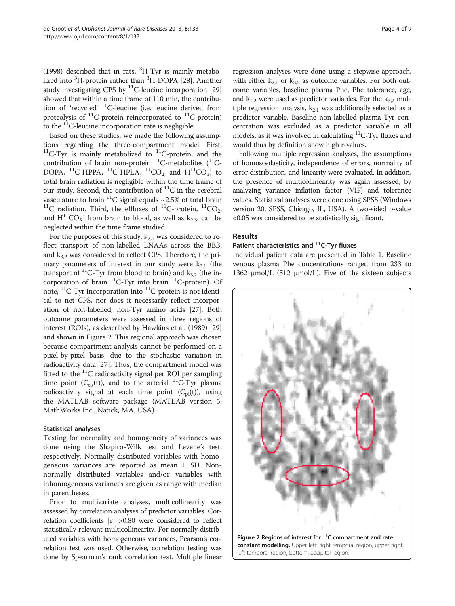(1998) described that in rats,  ${}^{3}$ H-Tyr is mainly metabo-lized into <sup>3</sup>H-protein rather than <sup>3</sup>H-DOPA [\[28\]](#page-8-0). Another study investigating CPS by  ${}^{11}$ C-leucine incorporation [[29](#page-8-0)] showed that within a time frame of 110 min, the contribution of 'recycled' 11C-leucine (i.e. leucine derived from proteolysis of  ${}^{11}$ C-protein reincorporated to  ${}^{11}$ C-protein) to the <sup>11</sup>C-leucine incorporation rate is negligible.

Based on these studies, we made the following assumptions regarding the three-compartment model. First,  $11C-Tyr$  is mainly metabolized to  $11C$ -protein, and the contribution of brain non-protein  ${}^{11}$ C-metabolites ( ${}^{11}$ C-DOPA, <sup>11</sup>C-HPPA, <sup>11</sup>C-HPLA, <sup>11</sup>CO<sub>2,</sub> and  $H^{11}CO_3$ ) to total brain radiation is negligible within the time frame of our study. Second, the contribution of  ${}^{11}C$  in the cerebral vasculature to brain <sup>11</sup>C signal equals ~2.5% of total brain <sup>11</sup>C radiation. Third, the effluxes of <sup>11</sup>C-protein, <sup>11</sup>CO<sub>2</sub>, and  $H^{11}CO_3^-$  from brain to blood, as well as  $k_{2,3}$ , can be neglected within the time frame studied.

For the purposes of this study,  $k_{2,1}$  was considered to reflect transport of non-labelled LNAAs across the BBB, and  $k_{3,2}$  was considered to reflect CPS. Therefore, the primary parameters of interest in our study were  $k_{2,1}$  (the transport of <sup>11</sup>C-Tyr from blood to brain) and  $k_{3,2}$  (the incorporation of brain  ${}^{11}C$ -Tyr into brain  ${}^{11}C$ -protein). Of note,  $^{11}$ C-Tyr incorporation into  $^{11}$ C-protein is not identical to net CPS, nor does it necessarily reflect incorporation of non-labelled, non-Tyr amino acids [\[27\]](#page-8-0). Both outcome parameters were assessed in three regions of interest (ROIs), as described by Hawkins et al. (1989) [[29](#page-8-0)] and shown in Figure 2. This regional approach was chosen because compartment analysis cannot be performed on a pixel-by-pixel basis, due to the stochastic variation in radioactivity data [\[27\]](#page-8-0). Thus, the compartment model was fitted to the  ${}^{11}C$  radioactivity signal per ROI per sampling time point  $(C_{\text{tis}}(t))$ , and to the arterial <sup>11</sup>C-Tyr plasma radioactivity signal at each time point  $(C_{pl}(t))$ , using the MATLAB software package (MATLAB version 5, MathWorks Inc., Natick, MA, USA).

#### Statistical analyses

Testing for normality and homogeneity of variances was done using the Shapiro-Wilk test and Levene's test, respectively. Normally distributed variables with homogeneous variances are reported as mean ± SD. Nonnormally distributed variables and/or variables with inhomogeneous variances are given as range with median in parentheses.

Prior to multivariate analyses, multicollinearity was assessed by correlation analyses of predictor variables. Correlation coefficients |r| >0.80 were considered to reflect statistically relevant multicollinearity. For normally distributed variables with homogeneous variances, Pearson's correlation test was used. Otherwise, correlation testing was done by Spearman's rank correlation test. Multiple linear regression analyses were done using a stepwise approach, with either  $k_{2,1}$  or  $k_{3,2}$  as outcome variables. For both outcome variables, baseline plasma Phe, Phe tolerance, age, and  $k_{1,2}$  were used as predictor variables. For the  $k_{3,2}$  multiple regression analysis,  $k_{2,1}$  was additionally selected as a predictor variable. Baseline non-labelled plasma Tyr concentration was excluded as a predictor variable in all models, as it was involved in calculating  ${}^{11}C$ -Tyr fluxes and would thus by definition show high r-values.

Following multiple regression analyses, the assumptions of homoscedasticity, independence of errors, normality of error distribution, and linearity were evaluated. In addition, the presence of multicollinearity was again assessed, by analyzing variance inflation factor (VIF) and tolerance values. Statistical analyses were done using SPSS (Windows version 20, SPSS, Chicago, IL, USA). A two-sided p-value <0.05 was considered to be statistically significant.

## Results

# Patient characteristics and <sup>11</sup>C-Tyr fluxes

Individual patient data are presented in Table [1](#page-4-0). Baseline venous plasma Phe concentrations ranged from 233 to 1362 μmol/L (512 μmol/L). Five of the sixteen subjects

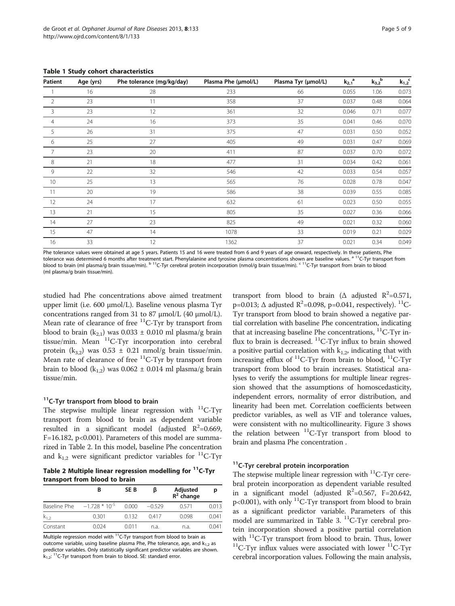| Patient        | Age (yrs) | Phe tolerance (mg/kg/day) | Plasma Phe (µmol/L) | Plasma Tyr (µmol/L) | $k_{2,1}$ <sup>a</sup> | $k_{3,2}^{\quad b}$ | $k_{1,2}^{\phantom{1}}$ c |
|----------------|-----------|---------------------------|---------------------|---------------------|------------------------|---------------------|---------------------------|
|                | 16        | 28                        | 233                 | 66                  | 0.055                  | 1.06                | 0.073                     |
| $\overline{2}$ | 23        | 11                        | 358                 | 37                  | 0.037                  | 0.48                | 0.064                     |
| 3              | 23        | 12                        | 361                 | 32                  | 0.046                  | 0.71                | 0.077                     |
| $\overline{4}$ | 24        | 16                        | 373                 | 35                  | 0.041                  | 0.46                | 0.070                     |
| 5              | 26        | 31                        | 375                 | 47                  | 0.031                  | 0.50                | 0.052                     |
| 6              | 25        | 27                        | 405                 | 49                  | 0.031                  | 0.47                | 0.069                     |
| 7              | 23        | 20                        | 411                 | 87                  | 0.037                  | 0.70                | 0.072                     |
| 8              | 21        | 18                        | 477                 | 31                  | 0.034                  | 0.42                | 0.061                     |
| 9              | 22        | 32                        | 546                 | 42                  | 0.033                  | 0.54                | 0.057                     |
| 10             | 25        | 13                        | 565                 | 76                  | 0.028                  | 0.78                | 0.047                     |
| 11             | 20        | 19                        | 586                 | 38                  | 0.039                  | 0.55                | 0.085                     |
| 12             | 24        | 17                        | 632                 | 61                  | 0.023                  | 0.50                | 0.055                     |
| 13             | 21        | 15                        | 805                 | 35                  | 0.027                  | 0.36                | 0.066                     |
| 14             | 27        | 23                        | 825                 | 49                  | 0.021                  | 0.32                | 0.060                     |
| 15             | 47        | 14                        | 1078                | 33                  | 0.019                  | 0.21                | 0.029                     |
| 16             | 33        | 12                        | 1362                | 37                  | 0.021                  | 0.34                | 0.049                     |

<span id="page-4-0"></span>Table 1 Study cohort characteristics

Phe tolerance values were obtained at age 5 years. Patients 15 and 16 were treated from 6 and 9 years of age onward, respectively. In these patients, Phe tolerance was determined 6 months after treatment start. Phenylalanine and tyrosine plasma concentrations shown are baseline values. a <sup>11</sup>C-Tyr transport from blood to brain (ml plasma/g brain tissue/min). b <sup>11</sup>C-Tyr cerebral protein incorporation (nmol/g brain tissue/min). <sup>c 11</sup>C-Tyr transport from brain to blood (ml plasma/g brain tissue/min).

studied had Phe concentrations above aimed treatment upper limit (i.e. 600 μmol/L). Baseline venous plasma Tyr concentrations ranged from 31 to 87 μmol/L (40 μmol/L). Mean rate of clearance of free <sup>11</sup>C-Tyr by transport from blood to brain  $(k_{2,1})$  was 0.033  $\pm$  0.010 ml plasma/g brain tissue/min. Mean  ${}^{11}C$ -Tyr incorporation into cerebral protein (k<sub>3,2</sub>) was  $0.53 \pm 0.21$  nmol/g brain tissue/min. Mean rate of clearance of free  ${}^{11}C$ -Tyr by transport from brain to blood  $(k_{1,2})$  was 0.062  $\pm$  0.014 ml plasma/g brain tissue/min.

## <sup>11</sup>C-Tyr transport from blood to brain

The stepwise multiple linear regression with  $^{11}$ C-Tyr transport from blood to brain as dependent variable resulted in a significant model (adjusted  $R^2$ =0.669, F=16.182, p<0.001). Parameters of this model are summarized in Table 2. In this model, baseline Phe concentration and  $k_{1,2}$  were significant predictor variables for <sup>11</sup>C-Tyr

Table 2 Multiple linear regression modelling for <sup>11</sup>C-Tyr transport from blood to brain

|              | В                  | SE <sub>B</sub> |          | Adjusted<br>$R^2$ change | р     |
|--------------|--------------------|-----------------|----------|--------------------------|-------|
| Baseline Phe | $-1.728 * 10^{-5}$ | 0.000           | $-0.529$ | 0.571                    | 0.013 |
| $k_{1,2}$    | 0.301              | 0.132           | 0.417    | 0.098                    | 0.041 |
| Constant     | 0.024              | 0.011           | n.a.     | n.a.                     | 0.041 |

Multiple regression model with  $11C$ -Tyr transport from blood to brain as outcome variable, using baseline plasma Phe, Phe tolerance, age, and  $k_{1,2}$  as predictor variables. Only statistically significant predictor variables are shown.  $k_1$ , <sup>11</sup>C-Tyr transport from brain to blood. SE: standard error.

transport from blood to brain ( $\triangle$  adjusted  $R^2$ =0.571, p=0.013;  $\Delta$  adjusted R<sup>2</sup>=0.098, p=0.041, respectively). <sup>11</sup>C-Tyr transport from blood to brain showed a negative partial correlation with baseline Phe concentration, indicating that at increasing baseline Phe concentrations,  ${}^{11}C$ -Tyr influx to brain is decreased.  $^{11}$ C-Tyr influx to brain showed a positive partial correlation with  $k_{1,2}$ , indicating that with increasing efflux of  ${}^{11}C$ -Tyr from brain to blood,  ${}^{11}C$ -Tyr transport from blood to brain increases. Statistical analyses to verify the assumptions for multiple linear regression showed that the assumptions of homoscedasticity, independent errors, normality of error distribution, and linearity had been met. Correlation coefficients between predictor variables, as well as VIF and tolerance values, were consistent with no multicollinearity. Figure [3](#page-5-0) shows the relation between  ${}^{11}$ C-Tyr transport from blood to brain and plasma Phe concentration .

# <sup>11</sup>C-Tyr cerebral protein incorporation

The stepwise multiple linear regression with  $\mathrm{^{11}C}\text{-}\mathrm{Tryr}$  cerebral protein incorporation as dependent variable resulted in a significant model (adjusted  $R^2$ =0.567, F=20.642,  $p<0.001$ ), with only <sup>11</sup>C-Tyr transport from blood to brain as a significant predictor variable. Parameters of this model are summarized in Table [3.](#page-5-0)<sup>11</sup>C-Tyr cerebral protein incorporation showed a positive partial correlation with <sup>11</sup>C-Tyr transport from blood to brain. Thus, lower  $^{11}$ C-Tyr influx values were associated with lower  $^{11}$ C-Tyr cerebral incorporation values. Following the main analysis,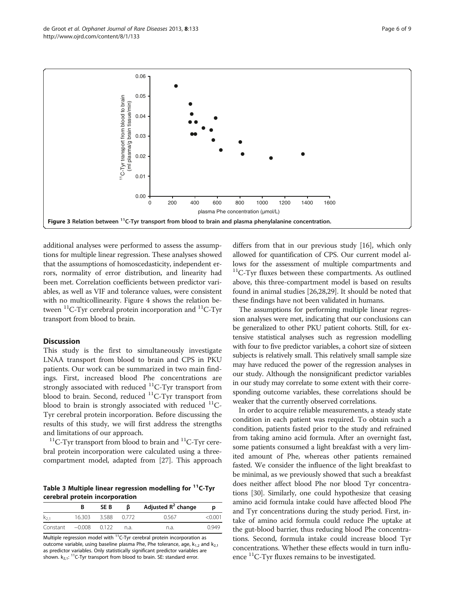<span id="page-5-0"></span>

additional analyses were performed to assess the assumptions for multiple linear regression. These analyses showed that the assumptions of homoscedasticity, independent errors, normality of error distribution, and linearity had been met. Correlation coefficients between predictor variables, as well as VIF and tolerance values, were consistent with no multicollinearity. Figure [4](#page-6-0) shows the relation between  ${}^{11}$ C-Tyr cerebral protein incorporation and  ${}^{11}$ C-Tyr transport from blood to brain.

## **Discussion**

This study is the first to simultaneously investigate LNAA transport from blood to brain and CPS in PKU patients. Our work can be summarized in two main findings. First, increased blood Phe concentrations are strongly associated with reduced  ${}^{11}$ C-Tyr transport from blood to brain. Second, reduced  ${}^{11}C$ -Tyr transport from blood to brain is strongly associated with reduced  $^{11}C-$ Tyr cerebral protein incorporation. Before discussing the results of this study, we will first address the strengths and limitations of our approach.<br><sup>11</sup>C-Tyr transport from blood to brain and <sup>11</sup>C-Tyr cere-

bral protein incorporation were calculated using a threecompartment model, adapted from [\[27\]](#page-8-0). This approach

Table 3 Multiple linear regression modelling for <sup>11</sup>C-Tyr cerebral protein incorporation

|           |          | SE <sub>B</sub> | ß     | Adjusted $R^2$ change | p       |
|-----------|----------|-----------------|-------|-----------------------|---------|
| $k_{2,1}$ | 16.303   | 3.588           | 0.772 | 0.567                 | < 0.001 |
| Constant  | $-0.008$ | 0.122           | n.a.  | n.a.                  | 0.949   |

Multiple regression model with  $^{11}$ C-Tyr cerebral protein incorporation as outcome variable, using baseline plasma Phe, Phe tolerance, age,  $k_{1,2}$  and  $k_{2,1}$ as predictor variables. Only statistically significant predictor variables are shown.  $k_{2,1}$ : <sup>11</sup>C-Tyr transport from blood to brain. SE: standard error.

differs from that in our previous study [\[16\]](#page-7-0), which only allowed for quantification of CPS. Our current model allows for the assessment of multiple compartments and  $11$ C-Tyr fluxes between these compartments. As outlined above, this three-compartment model is based on results found in animal studies [\[26,28,29](#page-8-0)]. It should be noted that these findings have not been validated in humans.

The assumptions for performing multiple linear regression analyses were met, indicating that our conclusions can be generalized to other PKU patient cohorts. Still, for extensive statistical analyses such as regression modelling with four to five predictor variables, a cohort size of sixteen subjects is relatively small. This relatively small sample size may have reduced the power of the regression analyses in our study. Although the nonsignificant predictor variables in our study may correlate to some extent with their corresponding outcome variables, these correlations should be weaker that the currently observed correlations.

In order to acquire reliable measurements, a steady state condition in each patient was required. To obtain such a condition, patients fasted prior to the study and refrained from taking amino acid formula. After an overnight fast, some patients consumed a light breakfast with a very limited amount of Phe, whereas other patients remained fasted. We consider the influence of the light breakfast to be minimal, as we previously showed that such a breakfast does neither affect blood Phe nor blood Tyr concentrations [[30](#page-8-0)]. Similarly, one could hypothesize that ceasing amino acid formula intake could have affected blood Phe and Tyr concentrations during the study period. First, intake of amino acid formula could reduce Phe uptake at the gut-blood barrier, thus reducing blood Phe concentrations. Second, formula intake could increase blood Tyr concentrations. Whether these effects would in turn influence 11C-Tyr fluxes remains to be investigated.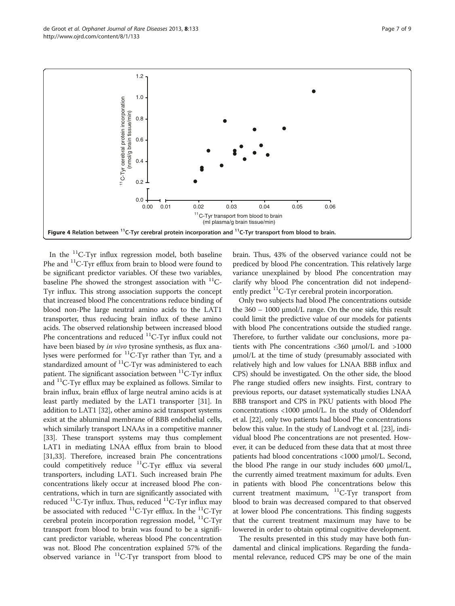In the 11C-Tyr influx regression model, both baseline Phe and <sup>11</sup>C-Tyr efflux from brain to blood were found to be significant predictor variables. Of these two variables, baseline Phe showed the strongest association with  $^{11}$ C-Tyr influx. This strong association supports the concept that increased blood Phe concentrations reduce binding of blood non-Phe large neutral amino acids to the LAT1 transporter, thus reducing brain influx of these amino acids. The observed relationship between increased blood Phe concentrations and reduced  ${}^{11}C$ -Tyr influx could not have been biased by in vivo tyrosine synthesis, as flux analyses were performed for 11C-Tyr rather than Tyr, and a standardized amount of  ${}^{11}C$ -Tyr was administered to each patient. The significant association between  ${}^{11}C$ -Tyr influx and 11C-Tyr efflux may be explained as follows. Similar to brain influx, brain efflux of large neutral amino acids is at least partly mediated by the LAT1 transporter [\[31\]](#page-8-0). In addition to LAT1 [\[32\]](#page-8-0), other amino acid transport systems exist at the abluminal membrane of BBB endothelial cells, which similarly transport LNAAs in a competitive manner [[33](#page-8-0)]. These transport systems may thus complement LAT1 in mediating LNAA efflux from brain to blood [[31,33](#page-8-0)]. Therefore, increased brain Phe concentrations could competitively reduce 11C-Tyr efflux via several transporters, including LAT1. Such increased brain Phe concentrations likely occur at increased blood Phe concentrations, which in turn are significantly associated with reduced  ${}^{11}C$ -Tyr influx. Thus, reduced  ${}^{11}C$ -Tyr influx may be associated with reduced  ${}^{11}$ C-Tyr efflux. In the  ${}^{11}$ C-Tyr cerebral protein incorporation regression model, 11C-Tyr transport from blood to brain was found to be a significant predictor variable, whereas blood Phe concentration was not. Blood Phe concentration explained 57% of the observed variance in  $^{11}$ C-Tyr transport from blood to

brain. Thus, 43% of the observed variance could not be prediced by blood Phe concentration. This relatively large variance unexplained by blood Phe concentration may clarify why blood Phe concentration did not independently predict  ${}^{11}C$ -Tyr cerebral protein incorporation.

Only two subjects had blood Phe concentrations outside the 360 – 1000 μmol/L range. On the one side, this result could limit the predictive value of our models for patients with blood Phe concentrations outside the studied range. Therefore, to further validate our conclusions, more patients with Phe concentrations <360 μmol/L and >1000 μmol/L at the time of study (presumably associated with relatively high and low values for LNAA BBB influx and CPS) should be investigated. On the other side, the blood Phe range studied offers new insights. First, contrary to previous reports, our dataset systematically studies LNAA BBB transport and CPS in PKU patients with blood Phe concentrations <1000 μmol/L. In the study of Oldendorf et al. [\[22](#page-8-0)], only two patients had blood Phe concentrations below this value. In the study of Landvogt et al. [[23\]](#page-8-0), individual blood Phe concentrations are not presented. However, it can be deduced from these data that at most three patients had blood concentrations <1000 μmol/L. Second, the blood Phe range in our study includes 600 μmol/L, the currently aimed treatment maximum for adults. Even in patients with blood Phe concentrations below this current treatment maximum,  $^{11}C-Tyr$  transport from blood to brain was decreased compared to that observed at lower blood Phe concentrations. This finding suggests that the current treatment maximum may have to be lowered in order to obtain optimal cognitive development.

The results presented in this study may have both fundamental and clinical implications. Regarding the fundamental relevance, reduced CPS may be one of the main

<span id="page-6-0"></span>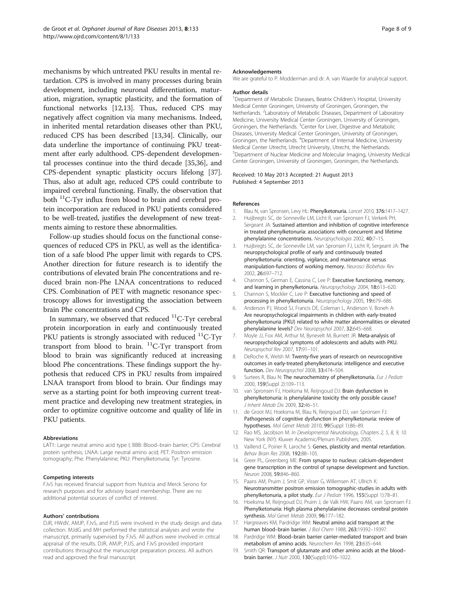<span id="page-7-0"></span>mechanisms by which untreated PKU results in mental retardation. CPS is involved in many processes during brain development, including neuronal differentiation, maturation, migration, synaptic plasticity, and the formation of functional networks [12,13]. Thus, reduced CPS may negatively affect cognition via many mechanisms. Indeed, in inherited mental retardation diseases other than PKU, reduced CPS has been described [13,[34](#page-8-0)]. Clinically, our data underline the importance of continuing PKU treatment after early adulthood. CPS-dependent developmental processes continue into the third decade [\[35,36\]](#page-8-0), and CPS-dependent synaptic plasticity occurs lifelong [[37](#page-8-0)]. Thus, also at adult age, reduced CPS could contribute to impaired cerebral functioning. Finally, the observation that both  $^{11}$ C-Tyr influx from blood to brain and cerebral protein incorporation are reduced in PKU patients considered to be well-treated, justifies the development of new treatments aiming to restore these abnormalities.

Follow-up studies should focus on the functional consequences of reduced CPS in PKU, as well as the identification of a safe blood Phe upper limit with regards to CPS. Another direction for future research is to identify the contributions of elevated brain Phe concentrations and reduced brain non-Phe LNAA concentrations to reduced CPS. Combination of PET with magnetic resonance spectroscopy allows for investigating the association between brain Phe concentrations and CPS.

In summary, we observed that reduced  $^{11}$ C-Tyr cerebral protein incorporation in early and continuously treated PKU patients is strongly associated with reduced  $^{11}$ C-Tyr transport from blood to brain.  $^{11}C$ -Tyr transport from blood to brain was significantly reduced at increasing blood Phe concentrations. These findings support the hypothesis that reduced CPS in PKU results from impaired LNAA transport from blood to brain. Our findings may serve as a starting point for both improving current treatment practice and developing new treatment strategies, in order to optimize cognitive outcome and quality of life in PKU patients.

#### Abbreviations

LAT1: Large neutral amino acid type I; BBB: Blood–brain barrier; CPS: Cerebral protein synthesis; LNAA: Large neutral amino acid; PET: Positron emission tomography; Phe: Phenylalanine; PKU: Phenylketonuria; Tyr: Tyrosine.

#### Competing interests

FJvS has received financial support from Nutricia and Merck Serono for research purposes and for advisory board membership. There are no additional potential sources of conflict of interest.

#### Authors' contributions

DJR, HWdV, AMJP, FJvS, and PJJS were involved in the study design and data collection. MJdG and MH performed the statistical analyses and wrote the manuscript, primarily supervised by FJvS. All authors were involved in critical appraisal of the results. DJR, AMJP, PJJS, and FJvS provided important contributions throughout the manuscript preparation process. All authors read and approved the final manuscript.

#### Acknowledgements

We are grateful to P. Modderman and dr. A. van Waarde for analytical support.

#### Author details

<sup>1</sup>Department of Metabolic Diseases, Beatrix Children's Hospital, University Medical Center Groningen, University of Groningen, Groningen, the Netherlands. <sup>2</sup> Laboratory of Metabolic Diseases, Department of Laboratory Medicine, University Medical Center Groningen, University of Groningen, Groningen, the Netherlands. <sup>3</sup> Center for Liver, Digestive and Metabolic Diseases, University Medical Center Groningen, University of Groningen, Groningen, the Netherlands. <sup>4</sup>Department of Internal Medicine, University Medical Center Utrecht, Utrecht University, Utrecht, the Netherlands. 5 Department of Nuclear Medicine and Molecular Imaging, University Medical Center Groningen, University of Groningen, Groningen, the Netherlands.

#### Received: 10 May 2013 Accepted: 21 August 2013 Published: 4 September 2013

#### References

- 1. Blau N, van Spronsen, Levy HL: **Phenylketonuria.** *Lancet* 2010, **376:**1417–1427.<br>2. Huiibreats SC. de Sonneville LM. Licht R. van Spronsen FJ. Verkerk PH.
- 2. Huijbregts SC, de Sonneville LM, Licht R, van Spronsen FJ, Verkerk PH, Sergeant JA: Sustained attention and inhibition of cognitive interference in treated phenylketonuria: associations with concurrent and lifetime phenylalanine concentrations. Neuropsychologia 2002, 40:7–15.
- 3. Huijbregts SC, de Sonneville LM, van Spronsen FJ, Licht R, Sergeant JA: The neuropsychological profile of early and continuously treated phenylketonuria: orienting, vigilance, and maintenance versus manipulation-functions of working memory. Neurosci Biobehav Rev 2002, 26:697–712.
- 4. Channon S, German E, Cassina C, Lee P: Executive functioning, memory, and learning in phenylketonuria. Neuropsychology 2004, 18:613–620.
- 5. Channon S, Mockler C, Lee P: Executive functioning and speed of processing in phenylketonuria. Neuropsychology 2005, 19:679–686.
- 6. Anderson PJ, Wood SJ, Francis DE, Coleman L, Anderson V, Boneh A: Are neuropsychological impairments in children with early-treated phenylketonuria (PKU) related to white matter abnormalities or elevated phenylalanine levels? Dev Neuropsychol 2007, 32:645–668.
- 7. Moyle JJ, Fox AM, Arthur M, Bynevelt M, Burnett JR: Meta-analysis of neuropsychological symptoms of adolescents and adults with PKU. Neuropsychol Rev 2007, 17:91–101.
- 8. DeRoche K, Welsh M: Twenty-five years of research on neurocognitive outcomes in early-treated phenylketonuria: intelligence and executive function. Dev Neuropsychol 2008, 33:474–504.
- 9. Surtees R, Blau N: The neurochemistry of phenylketonuria. Eur J Pediatr 2000, 159(Suppl 2):109–113.
- 10. van Spronsen FJ, Hoeksma M, Reijngoud DJ: Brain dysfunction in phenylketonuria: is phenylalanine toxicity the only possible cause? J Inherit Metab Dis 2009, 32:46–51.
- 11. de Groot MJ, Hoeksma M, Blau N, Reijngoud DJ, van Spronsen FJ: Pathogenesis of cognitive dysfunction in phenylketonuria: review of hypotheses. Mol Genet Metab 2010, 99(Suppl 1):86–89.
- 12. Rao MS, Jacobson M: In Developmental Neurobiology, Chapters 2, 5, 8, 9, 10. New York (NY): Kluwer Academic/Plenum Publishers; 2005.
- 13. Vaillend C, Poirier R, Laroche S: Genes, plasticity and mental retardation. Behav Brain Res 2008, 192:88–105.
- 14. Greer PL, Greenberg ME: From synapse to nucleus: calcium-dependent gene transcription in the control of synapse development and function. Neuron 2008, 59:846–860.
- 15. Paans AM, Pruim J, Smit GP, Visser G, Willemsen AT, Ullrich K: Neurotransmitter positron emission tomographic-studies in adults with phenylketonuria, a pilot study. Eur J Pediatr 1996, 155(Suppl 1):78–81.
- 16. Hoeksma M, Reijngoud DJ, Pruim J, de Valk HW, Paans AM, van Spronsen FJ: Phenylketonuria: High plasma phenylalanine decreases cerebral protein synthesis. Mol Genet Metab 2009, 96:177–182.
- 17. Hargreaves KM, Pardridge WM: Neutral amino acid transport at the human blood–brain barrier. J Biol Chem 1988, 263:19392–19397.
- 18. Pardridge WM: Blood-brain barrier carrier-mediated transport and brain metabolism of amino acids. Neurochem Res 1998, 23:635–644.
- 19. Smith QR: Transport of glutamate and other amino acids at the blood– brain barrier. J Nutr 2000, 130(Suppl):1016–1022.